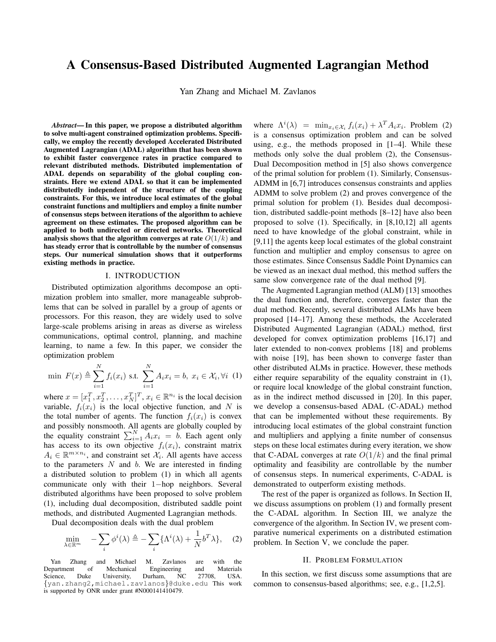# A Consensus-Based Distributed Augmented Lagrangian Method

Yan Zhang and Michael M. Zavlanos

*Abstract*— In this paper, we propose a distributed algorithm to solve multi-agent constrained optimization problems. Specifically, we employ the recently developed Accelerated Distributed Augmented Lagrangian (ADAL) algorithm that has been shown to exhibit faster convergence rates in practice compared to relevant distributed methods. Distributed implementation of ADAL depends on separability of the global coupling constraints. Here we extend ADAL so that it can be implemented distributedly independent of the structure of the coupling constraints. For this, we introduce local estimates of the global constraint functions and multipliers and employ a finite number of consensus steps between iterations of the algorithm to achieve agreement on these estimates. The proposed algorithm can be applied to both undirected or directed networks. Theoretical analysis shows that the algorithm converges at rate  $O(1/k)$  and has steady error that is controllable by the number of consensus steps. Our numerical simulation shows that it outperforms existing methods in practice.

# I. INTRODUCTION

Distributed optimization algorithms decompose an optimization problem into smaller, more manageable subproblems that can be solved in parallel by a group of agents or processors. For this reason, they are widely used to solve large-scale problems arising in areas as diverse as wireless communications, optimal control, planning, and machine learning, to name a few. In this paper, we consider the optimization problem

$$
\min \ F(x) \triangleq \sum_{i=1}^{N} f_i(x_i) \text{ s.t. } \sum_{i=1}^{N} A_i x_i = b, \ x_i \in \mathcal{X}_i, \forall i \ (1)
$$

where  $x = [x_1^T, x_2^T, \dots, x_N^T]^T, x_i \in \mathbb{R}^{n_i}$  is the local decision variable,  $f_i(x_i)$  is the local objective function, and N is the total number of agents. The function  $f_i(x_i)$  is convex and possibly nonsmooth. All agents are globally coupled by the equality constraint  $\sum_{i=1}^{N} A_i x_i = b$ . Each agent only has access to its own objective  $f_i(x_i)$ , constraint matrix  $A_i \in \mathbb{R}^{m \times n_i}$ , and constraint set  $\mathcal{X}_i$ . All agents have access to the parameters  $N$  and  $b$ . We are interested in finding a distributed solution to problem (1) in which all agents communicate only with their 1−hop neighbors. Several distributed algorithms have been proposed to solve problem (1), including dual decomposition, distributed saddle point methods, and distributed Augmented Lagrangian methods.

Dual decomposition deals with the dual problem

$$
\min_{\lambda \in \mathbb{R}^m} \quad -\sum_{i} \phi^i(\lambda) \triangleq -\sum_{i} \{ \Lambda^i(\lambda) + \frac{1}{N} b^T \lambda \}, \quad (2)
$$

where  $\Lambda^{i}(\lambda) = \min_{x_i \in \mathcal{X}_i} f_i(x_i) + \lambda^T A_i x_i$ . Problem (2) is a consensus optimization problem and can be solved using, e.g., the methods proposed in [1–4]. While these methods only solve the dual problem (2), the Consensus-Dual Decomposition method in [5] also shows convergence of the primal solution for problem (1). Similarly, Consensus-ADMM in [6,7] introduces consensus constraints and applies ADMM to solve problem (2) and proves convergence of the primal solution for problem (1). Besides dual decomposition, distributed saddle-point methods [8–12] have also been proposed to solve (1). Specifically, in [8,10,12] all agents need to have knowledge of the global constraint, while in [9,11] the agents keep local estimates of the global constraint function and multiplier and employ consensus to agree on those estimates. Since Consensus Saddle Point Dynamics can be viewed as an inexact dual method, this method suffers the same slow convergence rate of the dual method [9].

The Augmented Lagrangian method (ALM) [13] smoothes the dual function and, therefore, converges faster than the dual method. Recently, several distributed ALMs have been proposed [14–17]. Among these methods, the Accelerated Distributed Augmented Lagrangian (ADAL) method, first developed for convex optimization problems [16,17] and later extended to non-convex problems [18] and problems with noise [19], has been shown to converge faster than other distributed ALMs in practice. However, these methods either require separability of the equality constraint in (1), or require local knowledge of the global constraint function, as in the indirect method discussed in [20]. In this paper, we develop a consensus-based ADAL (C-ADAL) method that can be implemented without these requirements. By introducing local estimates of the global constraint function and multipliers and applying a finite number of consensus steps on these local estimates during every iteration, we show that C-ADAL converges at rate  $O(1/k)$  and the final primal optimality and feasibility are controllable by the number of consensus steps. In numerical experiments, C-ADAL is demonstrated to outperform existing methods.

The rest of the paper is organized as follows. In Section II, we discuss assumptions on problem (1) and formally present the C-ADAL algorithm. In Section III, we analyze the convergence of the algorithm. In Section IV, we present comparative numerical experiments on a distributed estimation problem. In Section V, we conclude the paper.

## II. PROBLEM FORMULATION

In this section, we first discuss some assumptions that are common to consensus-based algorithms; see, e.g., [1,2,5].

Yan Zhang and Michael M. Zavlanos are with the<br>Department of Mechanical Engineering and Materials t of Mechanical Engineering and<br>Duke University, Durham, NC 27708, Science, Duke University, Durham, NC 27708, USA. {yan.zhang2,michael.zavlanos}@duke.edu This work is supported by ONR under grant #N000141410479.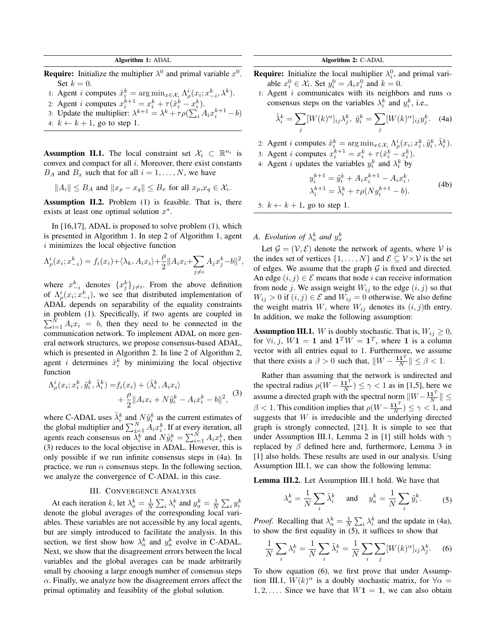Algorithm 1: ADAL

**Require:** Initialize the multiplier  $\lambda^0$  and primal variable  $x^0$ . Set  $k = 0$ .

- 1: Agent *i* computes  $\hat{x}_i^k = \arg \min_{x \in \mathcal{X}_i} \Lambda_{\rho}^i(x_i; x_{-i}^k, \lambda^k)$ .
- 2: Agent *i* computes  $x_i^{k+1} = x_i^k + \tau(\hat{x}_i^k x_i^k)$ .
- 3: Update the multiplier:  $\lambda^{k+1} = \lambda^k + \tau \rho (\sum_i A_i x_i^{k+1} b)$
- 4:  $k \leftarrow k + 1$ , go to step 1.

**Assumption II.1.** The local constraint set  $\mathcal{X}_i \subset \mathbb{R}^{n_i}$  is convex and compact for all  $i$ . Moreover, there exist constants  $B_A$  and  $B_x$  such that for all  $i = 1, \ldots, N$ , we have

$$
||A_i|| \le B_A \text{ and } ||x_p - x_q|| \le B_x \text{ for all } x_p, x_q \in \mathcal{X}_i.
$$

Assumption II.2. Problem (1) is feasible. That is, there exists at least one optimal solution  $x^*$ .

In [16,17], ADAL is proposed to solve problem (1), which is presented in Algorithm 1. In step 2 of Algorithm 1, agent  $i$  minimizes the local objective function

$$
\Lambda_{\rho}^{i}(x_i; x_{-i}^k) = f_i(x_i) + \langle \lambda_k, A_i x_i \rangle + \frac{\rho}{2} ||A_i x_i + \sum_{j \neq i} A_j x_j^k - b||^2,
$$

where  $x_{-i}^k$  denotes  $\{x_j^k\}_{j \neq i}$ . From the above definition of  $\Lambda^i_\rho(x_i; x_{-i}^k)$ , we see that distributed implementation of ADAL depends on separability of the equality constraints in problem (1). Specifically, if two agents are coupled in  $\sum_{i=1}^{N} A_i x_i = b$ , then they need to be connected in the communication network. To implement ADAL on more general network structures, we propose consensus-based ADAL, which is presented in Algorithm 2. In line 2 of Algorithm 2, agent *i* determines  $\hat{x}_i^k$  by minimizing the local objective function

$$
\Lambda_{\rho}^{i}(x_i; x_i^k, \tilde{y}_i^k, \tilde{\lambda}_i^k) = f_i(x_i) + \langle \tilde{\lambda}_i^k, A_i x_i \rangle
$$
  
+ 
$$
\frac{\rho}{2} || A_i x_i + N \tilde{y}_i^k - A_i x_i^k - b ||^2,
$$
 (3)

where C-ADAL uses  $\tilde{\lambda}_i^k$  and  $N\tilde{y}_i^k$  as the current estimates of the global multiplier and  $\sum_{i=1}^{N} A_i x_i^k$ . If at every iteration, all agents reach consensus on  $\overline{\lambda_i^k}$  and  $N\tilde{y}_i^k = \sum_{i=1}^N A_i x_i^k$ , then (3) reduces to the local objective in ADAL. However, this is only possible if we run infinite consensus steps in (4a). In practice, we run  $\alpha$  consensus steps. In the following section, we analyze the convergence of C-ADAL in this case.

### III. CONVERGENCE ANALYSIS

At each iteration k, let  $\lambda_a^k = \frac{1}{N} \sum_i \lambda_i^k$  and  $y_a^k = \frac{1}{N} \sum_i y_i^k$ denote the global averages of the corresponding local variables. These variables are not accessible by any local agents, but are simply introduced to facilitate the analysis. In this section, we first show how  $\lambda_a^k$  and  $y_a^k$  evolve in C-ADAL. Next, we show that the disagreement errors between the local variables and the global averages can be made arbitrarily small by choosing a large enough number of consensus steps  $\alpha$ . Finally, we analyze how the disagreement errors affect the primal optimality and feasiblity of the global solution.

# Algorithm 2: C-ADAL

- **Require:** Initialize the local multiplier  $\lambda_i^0$ , and primal variable  $x_i^0 \in \mathcal{X}_i$ . Set  $y_i^0 = A_i x_i^0$  and  $k = 0$ .
- 1: Agent i communicates with its neighbors and runs  $\alpha$ consensus steps on the variables  $\lambda_i^k$  and  $y_i^k$ , i.e.,

$$
\tilde{\lambda}_i^k = \sum_j [W(k)^\alpha]_{ij} \lambda_j^k, \ \tilde{y}_i^k = \sum_j [W(k)^\alpha]_{ij} y_j^k. \tag{4a}
$$

2: Agent *i* computes  $\hat{x}_i^k = \arg \min_{x \in \mathcal{X}_i} \Lambda_{\rho}^i(x_i; x_i^k, \tilde{y}_i^k, \tilde{\lambda}_i^k)$ .

3: Agent *i* computes  $x_i^{k+1} = x_i^k + \tau(\hat{x}_i^k - x_i^k)$ .

4: Agent *i* updates the variables  $y_i^k$  and  $\lambda_i^k$  by

$$
y_i^{k+1} = \tilde{y}_i^k + A_i x_i^{k+1} - A_i x_i^k,
$$
  
\n
$$
\lambda_i^{k+1} = \tilde{\lambda}_i^k + \tau \rho (Ny_i^{k+1} - b).
$$
\n(4b)

5:  $k \leftarrow k + 1$ , go to step 1.

*A.* Evolution of  $\lambda_a^k$  and  $y_a^k$ 

Let  $\mathcal{G} = (\mathcal{V}, \mathcal{E})$  denote the network of agents, where  $\mathcal{V}$  is the index set of vertices  $\{1, \ldots, N\}$  and  $\mathcal{E} \subseteq \mathcal{V} \times \mathcal{V}$  is the set of edges. We assume that the graph  $G$  is fixed and directed. An edge  $(i, j) \in \mathcal{E}$  means that node i can receive information from node j. We assign weight  $W_{ij}$  to the edge  $(i, j)$  so that  $W_{ij} > 0$  if  $(i, j) \in \mathcal{E}$  and  $W_{ij} = 0$  otherwise. We also define the weight matrix W, where  $W_{ij}$  denotes its  $(i, j)$ th entry. In addition, we make the following assumption:

**Assumption III.1.** W is doubly stochastic. That is,  $W_{ij} \geq 0$ , for  $\forall i, j, W1 = 1$  and  $1^T W = 1^T$ , where 1 is a column vector with all entries equal to 1. Furthermore, we assume that there exists a  $\beta > 0$  such that,  $\|W - \frac{\mathbf{1} \mathbf{1}^T}{N}\| \leq \beta < 1$ .

Rather than assuming that the network is undirected and the spectral radius  $\rho(W - \frac{\mathbf{1} \mathbf{1}^T}{N}) \leq \gamma < 1$  as in [1,5], here we assume a directed graph with the spectral norm  $||W - \frac{\mathbf{1} \mathbf{1}^T}{N}|| \leq$  $\beta$  < 1. This condition implies that  $\rho(W - \frac{\mathbf{1} \mathbf{1}^T}{N}) \le \gamma < 1$ , and suggests that  $W$  is irreducible and the underlying directed graph is strongly connected, [21]. It is simple to see that under Assumption III.1, Lemma 2 in [1] still holds with  $\gamma$ replaced by  $\beta$  defined here and, furthermore, Lemma 3 in [1] also holds. These results are used in our analysis. Using Assumption III.1, we can show the following lemma:

Lemma III.2. Let Assumption III.1 hold. We have that

$$
\lambda_a^k = \frac{1}{N} \sum_i \tilde{\lambda}_i^k \quad \text{and} \quad y_a^k = \frac{1}{N} \sum_i \tilde{y}_i^k. \tag{5}
$$

*Proof.* Recalling that  $\lambda_a^k = \frac{1}{N} \sum_i \lambda_i^k$  and the update in (4a), to show the first equality in  $(5)$ , it suffices to show that

$$
\frac{1}{N}\sum_{i}\lambda_i^k = \frac{1}{N}\sum_{i}\tilde{\lambda}_i^k = \frac{1}{N}\sum_{i}\sum_{j}[W(k)^\alpha]_{ij}\lambda_j^k.
$$
 (6)

To show equation (6), we first prove that under Assumption III.1,  $W(k)^\alpha$  is a doubly stochastic matrix, for  $\forall \alpha =$  $1, 2, \ldots$ . Since we have that  $W1 = 1$ , we can also obtain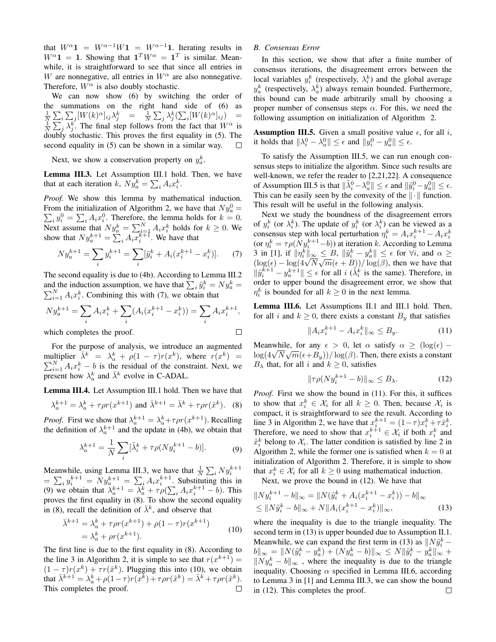that  $W^{\alpha}$ **1** =  $W^{\alpha-1}W$ **1** =  $W^{\alpha-1}$ **1**. Iterating results in  $W^{\alpha}$ **1** = **1**. Showing that  $\mathbf{1}^T W^{\alpha} = \mathbf{1}^T$  is similar. Meanwhile, it is straightforward to see that since all entries in W are nonnegative, all entries in  $W^{\alpha}$  are also nonnegative. Therefore,  $W^{\alpha}$  is also doubly stochastic.

We can now show (6) by switching the order of the summations on the right hand side of (6) as  $\frac{1}{N} \sum_{i} \sum_{j} [W(k)^{\alpha}]_{ij} \lambda_j^k = \frac{1}{N} \sum_{j} \lambda_j^k (\sum_{i} [W(k)^{\alpha}]_{ij}) = \frac{1}{N} \sum_{j} \lambda_j^k$ . The final step follows from the fact that  $W^{\alpha}$  is doubly stochastic. This proves the first equality in (5). The second equality in (5) can be shown in a similar way. П

Next, we show a conservation property on  $y_a^k$ .

Lemma III.3. Let Assumption III.1 hold. Then, we have that at each iteration k,  $Ny_a^k = \sum_i A_i x_i^k$ .

*Proof.* We show this lemma by mathematical induction. From the initialization of Algorithm 2, we have that  $Ny_a^0 =$ From the initialization of Algorithm 2, we have that  $Ny_a^0 = \sum_i y_i^0 = \sum_i A_i x_i^0$ . Therefore, the lemma holds for  $k = 0$ . Next assume that  $Ny_a^k = \sum_{i=1}^N A_i x_i^k$  holds for  $k \ge 0$ . We show that  $Ny_a^{k+1} = \sum_i A_i \overline{x_i^k}^{\dagger}$ . We have that

$$
Ny_a^{k+1} = \sum_i y_i^{k+1} = \sum_i [\tilde{y}_i^k + A_i (x_i^{k+1} - x_i^k)].
$$
 (7)

The second equality is due to (4b). According to Lemma III.2 and the induction assumption, we have that  $\sum_i \tilde{y}_i^k = Ny_a^k =$  $\sum_{i=1}^{N} A_i x_i^k$ . Combining this with (7), we obtain that

$$
Ny_a^{k+1} = \sum_i A_i x_i^k + \sum_i (A_i (x_i^{k+1} - x_i^k)) = \sum_i A_i x_i^{k+1},
$$
  
which completes the proof.

which completes the proof.

For the purpose of analysis, we introduce an augmented multiplier  $\bar{\lambda}^k = \lambda_a^k + \rho(1-\tau)r(x^k)$ , where  $r(x^k)$  $\sum$ ultiplier  $\bar{\lambda}^k = \lambda_a^k + \rho(1-\tau)r(x^k)$ , where  $r(x^k) =$ <br>  $\sum_{i=1}^N A_i x_i^k - b$  is the residual of the constraint. Next, we present how  $\lambda_a^k$  and  $\bar{\lambda}^k$  evolve in C-ADAL.

Lemma III.4. Let Assumption III.1 hold. Then we have that

$$
\lambda_a^{k+1} = \lambda_a^k + \tau \rho r(x^{k+1}) \text{ and } \bar{\lambda}^{k+1} = \bar{\lambda}^k + \tau \rho r(\hat{x}^k). \tag{8}
$$

*Proof.* First we show that  $\lambda_a^{k+1} = \lambda_a^k + \tau \rho r(x^{k+1})$ . Recalling the definition of  $\lambda_a^{k+1}$  and the update in (4b), we obtain that

$$
\lambda_a^{k+1} = \frac{1}{N} \sum_i [\tilde{\lambda}_i^k + \tau \rho (N y_i^{k+1} - b)]. \tag{9}
$$

Meanwhile, using Lemma III.3, we have that  $\frac{1}{N} \sum_i Ny_i^{k+1}$ <br>=  $\sum_i y_i^{k+1} = Ny_a^{k+1} = \sum_i A_i x_i^{k+1}$ . Substituting this in (9) we obtain that  $\lambda_a^{k+1} = \overline{\lambda}_a^k + \tau \rho (\sum_i A_i x_i^{k+1} - b)$ . This proves the first equality in (8). To show the second equality in (8), recall the definition of  $\bar{\lambda}^k$ , and observe that

$$
\bar{\lambda}^{k+1} = \lambda_a^k + \tau \rho r(x^{k+1}) + \rho (1 - \tau) r(x^{k+1})
$$
  
=  $\lambda_a^k + \rho r(x^{k+1}).$  (10)

The first line is due to the first equality in (8). According to the line 3 in Algorithm 2, it is simple to see that  $r(x^{k+1}) =$  $(1 - \tau)r(x^k) + \tau r(\hat{x}^k)$ . Plugging this into (10), we obtain that  $\bar{\lambda}^{k+1} = \lambda_a^k + \rho(1-\tau)r(x^k) + \tau \rho r(\hat{x}^k) = \bar{\lambda}^k + \tau \rho r(\hat{x}^k)$ . This completes the proof.  $\Box$ 

# *B. Consensus Error*

In this section, we show that after a finite number of consensus iterations, the disagreement errors between the local variables  $y_i^k$  (respectively,  $\lambda_i^k$ ) and the global average  $y_a^k$  (respectively,  $\lambda_a^k$ ) always remain bounded. Furthermore, this bound can be made arbitrarily small by choosing a proper number of consensus steps  $\alpha$ . For this, we need the following assumption on initialization of Algorithm 2.

**Assumption III.5.** Given a small positive value  $\epsilon$ , for all i, it holds that  $\|\lambda_i^0 - \lambda_a^0\| \le \epsilon$  and  $\|y_i^0 - y_a^0\| \le \epsilon$ .

To satisfy the Assumption III.5, we can run enough consensus steps to initialize the algorithm. Since such results are well-known, we refer the reader to [2,21,22]. A consequence of Assumption III.5 is that  $\|\tilde{\lambda}_i^0 - \lambda_a^0\| \leq \epsilon$  and  $\|\tilde{y}_i^0 - y_a^0\| \leq \epsilon$ . This can be easily seen by the convexity of the  $\|\cdot\|$  function. This result will be useful in the following analysis.

Next we study the boundness of the disagreement errors of  $y_i^k$  (or  $\lambda_i^k$ ). The update of  $y_i^k$  (or  $\lambda_i^k$ ) can be viewed as a consensus step with local perturbation  $\eta_i^k = A_i x_i^{k+1} - A_i x_i^k$ (or  $\eta_i^k = \tau \rho(Ny_i^{k+1} - b)$ ) at iteration k. According to Lemma 3 in [1], if  $\|\eta_i^k\|_{\infty} \leq B$ ,  $\|\tilde{y}_i^k - y_a^k\| \leq \epsilon$  for  $\forall i$ , and  $\alpha \geq (\log(\epsilon) - \log(4\sqrt{N}\sqrt{m}(\epsilon + B))/\log(\beta))$ , then we have that  $\|\tilde{y}_i^{\vec{k}+1} - y_a^{\vec{k}+1}\| \leq \epsilon$  for all  $i \; (\tilde{\lambda}_i^{\vec{k}})$  is the same). Therefore, in order to upper bound the disagreement error, we show that  $\eta_i^k$  is bounded for all  $k \geq 0$  in the next lemma.

Lemma III.6. Let Assumptions II.1 and III.1 hold. Then, for all i and  $k \geq 0$ , there exists a constant  $B_y$  that satisfies

$$
||A_i x_i^{k+1} - A_i x_i^k||_{\infty} \le B_y.
$$
 (11)

Meanwhile, for any  $\epsilon > 0$ , let  $\alpha$  satisfy  $\alpha \geq (\log(\epsilon) -$ Meanwhile, for any  $\epsilon > 0$ , let  $\alpha$  satisfy  $\alpha \geq (\log(\epsilon) - \log(4\sqrt{N}\sqrt{m}(\epsilon + B_y))/\log(\beta)$ . Then, there exists a constant  $B_{\lambda}$  that, for all i and  $k \geq 0$ , satisfies

$$
\|\tau\rho(Ny_i^{k+1} - b)\|_{\infty} \le B_{\lambda}.\tag{12}
$$

*Proof.* First we show the bound in (11). For this, it suffices to show that  $x_i^k \in \mathcal{X}_i$  for all  $k \geq 0$ . Then, because  $\mathcal{X}_i$  is compact, it is straightforward to see the result. According to line 3 in Algorithm 2, we have that  $x_i^{k+1} = (1 - \tau)x_i^k + \tau \hat{x}_i^k$ . Therefore, we need to show that  $x_i^{k+1} \in \mathcal{X}_i$  if both  $x_i^k$  and  $\hat{x}_i^k$  belong to  $\mathcal{X}_i$ . The latter condition is satisfied by line 2 in Algorithm 2, while the former one is satisfied when  $k = 0$  at initialization of Algorithm 2. Therefore, it is simple to show that  $x_i^k \in \mathcal{X}_i$  for all  $k \geq 0$  using mathematical induction.

Next, we prove the bound in (12). We have that

$$
||Ny_i^{k+1} - b||_{\infty} = ||N(\tilde{y}_i^k + A_i(x_i^{k+1} - x_i^k)) - b||_{\infty}
$$
  
\n
$$
\leq ||N\tilde{y}_i^k - b||_{\infty} + N||A_i(x_i^{k+1} - x_i^k)||_{\infty},
$$
\n(13)

where the inequality is due to the triangle inequality. The second term in (13) is upper bounded due to Assumption II.1. Meanwhile, we can expand the first term in (13) as  $\|N\tilde{y}_i^k ||b||_{\infty} = ||N(\tilde{y}_i^k - y_a^k) + (Ny_a^k - b)||_{\infty} \le N||\tilde{y}_i^k - y_a^k||_{\infty} +$  $\|Ny_a^k - b\|_{\infty}$ , where the inequality is due to the triangle inequality. Choosing  $\alpha$  specified in Lemma III.6, according to Lemma 3 in [1] and Lemma III.3, we can show the bound in (12). This completes the proof. $\Box$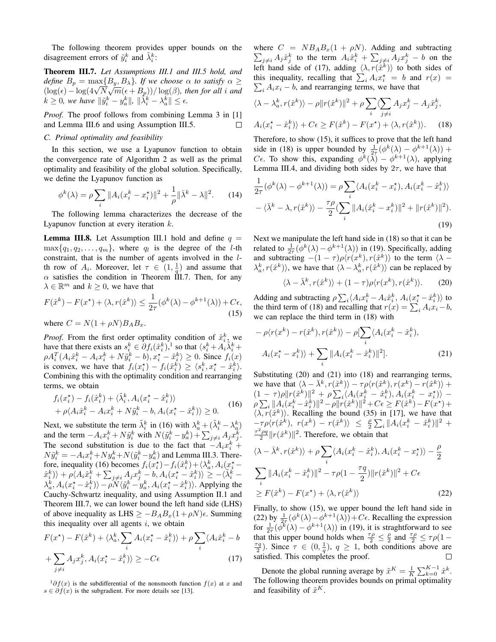The following theorem provides upper bounds on the disagreement errors of  $\tilde{y}_i^k$  and  $\tilde{\lambda}_i^k$ :

Theorem III.7. *Let Assumptions III.1 and III.5 hold, and*  $\text{define } B_p = \max\{B_y, B_\lambda\}.$  If we choose  $\alpha$  to satisfy  $\alpha \geq 0$ define  $B_p = \max\{B_y, B_\lambda\}$ . If we choose  $\alpha$  to satisfy  $\alpha \geq$  (log( $\epsilon$ ) – log( $4\sqrt{N}\sqrt{m}(\epsilon + B_p)$ )/ log( $\beta$ ), then for all i and  $k \geq 0$ , we have  $\|\tilde{y}_i^k - y_a^k\|$ ,  $\|\tilde{\lambda}_i^k - \lambda_a^k\| \leq \epsilon$ .

*Proof.* The proof follows from combining Lemma 3 in [1] and Lemma III.6 and using Assumption III.5.  $\Box$ 

#### *C. Primal optimality and feasibility*

In this section, we use a Lyapunov function to obtain the convergence rate of Algorithm 2 as well as the primal optimality and feasibility of the global solution. Specifically, we define the Lyapunov function as

$$
\phi^k(\lambda) = \rho \sum_i \|A_i (x_i^k - x_i^*)\|^2 + \frac{1}{\rho} \|\bar{\lambda}^k - \lambda\|^2. \tag{14}
$$

The following lemma characterizes the decrease of the Lyapunov function at every iteration k.

**Lemma III.8.** Let Assumption III.1 hold and define  $q =$  $\max\{q_1, q_2, \ldots, q_m\}$ , where  $q_l$  is the degree of the *l*-th constraint, that is the number of agents involved in the lth row of  $A_i$ . Moreover, let  $\tau \in (1, \frac{1}{q})$  and assume that  $\alpha$  satisfies the condition in Theorem III.7. Then, for any  $\lambda \in \mathbb{R}^m$  and  $k \geq 0$ , we have that

$$
F(\hat{x}^k) - F(x^*) + \langle \lambda, r(\hat{x}^k) \rangle \le \frac{1}{2\tau} (\phi^k(\lambda) - \phi^{k+1}(\lambda)) + C\epsilon,
$$
\n(15)

where  $C = N(1 + \rho N)B_A B_x$ .

*Proof.* From the first order optimality condition of  $\hat{x}_i^k$ , we have that there exists an  $s_i^k \in \partial f_i(\hat{x}_i^k)$ ,<sup>1</sup> so that  $\langle s_i^k + A_i \tilde{\lambda}_i^k + \tilde{\lambda}_i^k \rangle$  $\rho A_i^T (A_i \hat{x}_i^k - A_i x_i^k + N \tilde{y}_i^k - b), x_i^* - \hat{x}_i^k \rangle \ge 0$ . Since  $f_i(x)$ is convex, we have that  $f_i(x_i^*) - f_i(\hat{x}_i^k) \ge \langle s_i^k, x_i^* - \hat{x}_i^k \rangle$ . Combining this with the optimality condition and rearranging terms, we obtain

$$
f_i(x_i^*) - f_i(\hat{x}_i^k) + \langle \tilde{\lambda}_i^k, A_i(x_i^* - \hat{x}_i^k) \rangle + \rho \langle A_i \hat{x}_i^k - A_i x_i^k + N \tilde{y}_i^k - b, A_i(x_i^* - \hat{x}_i^k) \rangle \ge 0.
$$
 (16)

Next, we substitute the term  $\tilde{\lambda}_i^k$  in (16) with  $\lambda_a^k + (\tilde{\lambda}_i^k - \lambda_a^k)$ and the term  $-A_i x_i^k + N \tilde{y}_i^k$  with  $N(\tilde{y}_i^k - y_a^k) + \sum_{j \neq i} A_j x_j^k$ . The second substitution is due to the fact that  $-A_i x_i^k +$  $N\tilde{y}_i^k = -A_ix_i^k + Ny_a^k + N(\tilde{y}_i^k - y_a^k)$  and Lemma III.3. Therefore, inequality (16) becomes  $f_i(x_i^*) - f_i(\hat{x}_i^k) + \langle \lambda_a^k, A_i(x_i^* - \rangle)$  $\langle \hat{x}_i^k \rangle \rangle + \rho \langle A_i \hat{x}_i^k + \sum_{j \neq i} A_j x_j^k - b, A_i (x_i^\star - \hat{x}_i^k) \rangle \geq - \langle \tilde{\lambda}_i^k - b \rangle$  $\langle \lambda_a^k, A_i(x_i^* - \hat{x}_i^k) \rangle - \rho N \langle \tilde{y}_i^k - y_a^k, A_i(x_i^* - \hat{x}_i^k) \rangle$ . Applying the Cauchy-Schwartz inequality, and using Assumption II.1 and Theorem III.7, we can lower bound the left hand side (LHS) of above inequality as LHS  $\geq -B_A B_x (1 + \rho N) \epsilon$ . Summing this inequality over all agents  $i$ , we obtain

$$
F(x^*) - F(\hat{x}^k) + \langle \lambda_a^k, \sum_i A_i (x_i^* - \hat{x}_i^k) \rangle + \rho \sum_i \langle A_i \hat{x}_i^k - b
$$

$$
+ \sum_{j \neq i} A_j x_j^k, A_i (x_i^* - \hat{x}_i^k) \rangle \ge -C\epsilon
$$
(17)

 $1\partial f(x)$  is the subdifferential of the nonsmooth function  $f(x)$  at x and  $s \in \partial f(x)$  is the subgradient. For more details see [13].

where  $C = NB_A B_x (1 + \rho N)$ . Adding and subtracting  $\sum_{j\neq i} A_j \hat{x}_j^k$  to the term  $A_i \hat{x}_i^k + \sum_{j\neq i} A_j x_j^k - b$  on the left hand side of (17), adding  $\langle \lambda, r(\hat{x}^k) \rangle$  to both sides of this inequality, recalling that  $\sum_i A_i x_i^* = b$  and  $r(x) =$  $\sum_i A_i x_i - b$ , and rearranging terms, we have that

$$
\langle \lambda - \lambda_a^k, r(\hat{x}^k) \rangle - \rho ||r(\hat{x}^k)||^2 + \rho \sum_i \langle \sum_{j \neq i} A_j x_j^k - A_j \hat{x}_j^k,
$$
  

$$
A_i(x_i^* - \hat{x}_i^k) \rangle + C\epsilon \ge F(\hat{x}^k) - F(x^*) + \langle \lambda, r(\hat{x}^k) \rangle.
$$
 (18)

Therefore, to show (15), it suffices to prove that the left hand side in (18) is upper bounded by  $\frac{1}{2\tau}(\phi^k(\lambda) - \phi^{k+1}(\lambda))$  +  $C\epsilon$ . To show this, expanding  $\phi^k(\overline{\lambda}) - \phi^{k+1}(\lambda)$ , applying Lemma III.4, and dividing both sides by  $2\tau$ , we have that

$$
\frac{1}{2\tau}(\phi^k(\lambda) - \phi^{k+1}(\lambda)) = \rho \sum_i \langle A_i(x_i^k - x_i^{\star}), A_i(x_i^k - \hat{x}_i^k) \rangle
$$

$$
-\langle \bar{\lambda}^k - \lambda, r(\hat{x}^k) \rangle - \frac{\tau \rho}{2} (\sum_i \|A_i(\hat{x}_i^k - x_i^k)\|^2 + \|r(\hat{x}^k)\|^2).
$$
(19)

Next we manipulate the left hand side in (18) so that it can be related to  $\frac{1}{2\tau}(\phi^k(\lambda) - \phi^{k+1}(\lambda))$  in (19). Specifically, adding and subtracting  $-(1 - \tau)\rho\langle r(x^k), r(\hat{x}^k) \rangle$  to the term  $\langle \lambda \langle \lambda_a^k, r(\hat{x}^k) \rangle$ , we have that  $\langle \lambda - \lambda_a^k, r(\hat{x}^k) \rangle$  can be replaced by

$$
\langle \lambda - \bar{\lambda}^k, r(\hat{x}^k) \rangle + (1 - \tau) \rho \langle r(x^k), r(\hat{x}^k) \rangle.
$$
 (20)

Adding and subtracting  $\rho \sum_i \langle A_i x_i^k - A_i \hat{x}_i^k, A_i (x_i^* - \hat{x}_i^k) \rangle$  to the third term of (18) and recalling that  $r(x) = \sum_i A_i x_i - b$ , we can replace the third term in (18) with

$$
-\rho\langle r(x^k) - r(\hat{x}^k), r(\hat{x}^k)\rangle - \rho \left[\sum_i \langle A_i(x_i^k - \hat{x}_i^k), A_i(x_i^k - x_i^k)\rangle + \sum_i \|A_i(x_i^k - \hat{x}_i^k)\|^2\right].
$$
\n(21)

Substituting (20) and (21) into (18) and rearranging terms, we have that  $\langle \lambda - \bar{\lambda}^k, r(\hat{x}^k) \rangle - \tau \rho \langle r(\hat{x}^k), r(x^k) - r(\hat{x}^k) \rangle +$  $(1-\tau)\rho\|r(\hat{x}^k)\|^2 + \rho\sum_i\langle A_i(x_i^k-\hat{x}_i^k),A_i(x_i^k-x_i^{\star})\rangle - \nonumber$  $\rho \sum_i ||A_i(x_i^k - \hat{x}_i^k)||^2 - \rho ||r(\hat{x}^k)||^2 + C\epsilon \ge F(\hat{x}^k) - F(x^*) +$  $\langle \lambda, r(\hat{x}^k) \rangle$ . Recalling the bound (35) in [17], we have that  $-\tau \rho \langle r(\hat{x}^k), r(x^k) - r(\hat{x}^k) \rangle \leq \frac{\rho}{2} \sum_i ||A_i(x_i^k - \hat{x}_i^k)||^2 +$  $\frac{\tau^2 \rho q}{2} ||r(\hat{x}^k)||^2$ . Therefore, we obtain that

$$
\langle \lambda - \bar{\lambda}^k, r(\hat{x}^k) \rangle + \rho \sum_i \langle A_i(x_i^k - \hat{x}_i^k), A_i(x_i^k - x_i^{\star}) \rangle - \frac{\rho}{2}
$$
  

$$
\sum_i ||A_i(x_i^k - \hat{x}_i^k)||^2 - \tau \rho (1 - \frac{\tau q}{2}) ||r(\hat{x}^k)||^2 + C\epsilon
$$
  

$$
\geq F(\hat{x}^k) - F(x^{\star}) + \langle \lambda, r(\hat{x}^k) \rangle
$$
 (22)

Finally, to show (15), we upper bound the left hand side in (22) by  $\frac{1}{2\tau}(\phi^k(\lambda)-\phi^{k+1}(\lambda))+C\epsilon$ . Recalling the expression for  $\frac{1}{2\tau}(\phi^k(\lambda) - \phi^{k+1}(\lambda))$  in (19), it is straghtforward to see that this upper bound holds when  $\frac{\tau \rho}{2} \leq \frac{\rho}{2}$  and  $\frac{\tau \rho}{2} \leq \tau \rho (1 - \rho)$  $\frac{\tau q}{2}$ ). Since  $\tau \in (0, \frac{1}{q})$ ,  $q \ge 1$ , both conditions above are satisfied. This completes the proof.

Denote the global running average by  $\tilde{x}^K = \frac{1}{K} \sum_{k=0}^{K-1} \hat{x}^k$ . The following theorem provides bounds on primal optimality and feasibility of  $\tilde{x}^K$ .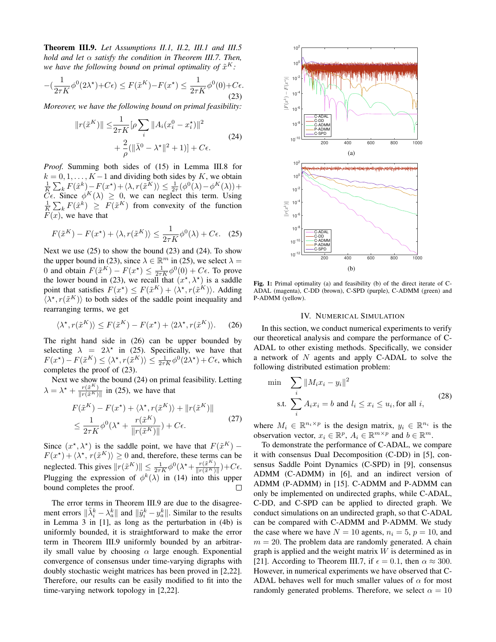Theorem III.9. *Let Assumptions II.1, II.2, III.1 and III.5 hold and let* α *satisfy the condition in Theorem III.7. Then,* we have the following bound on primal optimality of  $\tilde{x}^K$ :

$$
-(\frac{1}{2\tau K}\phi^0(2\lambda^\star) + C\epsilon) \le F(\tilde{x}^K) - F(x^\star) \le \frac{1}{2\tau K}\phi^0(0) + C\epsilon.
$$
\n(23)

*Moreover, we have the following bound on primal feasibility:*

$$
||r(\tilde{x}^{K})|| \leq \frac{1}{2\tau K} [\rho \sum_{i} ||A_{i}(x_{i}^{0} - x_{i}^{\star})||^{2} + \frac{2}{\rho} (||\bar{\lambda}^{0} - \lambda^{\star}||^{2} + 1)] + C\epsilon.
$$
 (24)

*Proof.* Summing both sides of (15) in Lemma III.8 for  $k = 0, 1, \ldots, K - 1$  and dividing both sides by K, we obtain  $\frac{1}{K} \sum_{k} F(\hat{x}^{k}) - F(x^{*}) + \langle \lambda, r(\tilde{x}^{K}) \rangle \leq \frac{1}{2\tau} (\phi^{0}(\lambda) - \phi^{K}(\lambda)) +$  $\tilde{C}\epsilon$ . Since  $\phi^K(\lambda) \geq 0$ , we can neglect this term. Using  $\frac{1}{K}\sum_k F(\hat{x}^k) \geq F(\tilde{x}^K)$  from convexity of the function  $F(x)$ , we have that

$$
F(\tilde{x}^{K}) - F(x^*) + \langle \lambda, r(\tilde{x}^{K}) \rangle \le \frac{1}{2\tau K} \phi^{0}(\lambda) + C\epsilon. \quad (25)
$$

Next we use  $(25)$  to show the bound  $(23)$  and  $(24)$ . To show the upper bound in (23), since  $\lambda \in \mathbb{R}^m$  in (25), we select  $\lambda =$ 0 and obtain  $F(\tilde{x}^K) - F(x^*) \le \frac{1}{2\tau K} \phi^0(0) + C\epsilon$ . To prove the lower bound in (23), we recall that  $(x^*, \lambda^*)$  is a saddle point that satisfies  $F(x^*) \leq F(\tilde{x}^K) + \langle \lambda^*, r(\tilde{x}^K) \rangle$ . Adding  $\langle \lambda^*, r(\tilde{x}^K) \rangle$  to both sides of the saddle point inequality and rearranging terms, we get

$$
\langle \lambda^*, r(\tilde{x}^K) \rangle \le F(\tilde{x}^K) - F(x^*) + \langle 2\lambda^*, r(\tilde{x}^K) \rangle. \tag{26}
$$

The right hand side in (26) can be upper bounded by selecting  $\lambda = 2\lambda^*$  in (25). Specifically, we have that  $F(x^*) - F(\tilde{x}^K) \le \langle \lambda^*, r(\tilde{x}^K) \rangle \le \frac{1}{2\tau K} \phi^0(2\lambda^*) + C\epsilon$ , which completes the proof of (23).

Next we show the bound (24) on primal feasibility. Letting  $\lambda = \lambda^* + \frac{r(\tilde{x}^K)}{\ln(r(\tilde{x}^K))}$  $\frac{r(x)}{\|r(\tilde{x}^{K})\|}$  in (25), we have that

$$
F(\tilde{x}^{K}) - F(x^*) + \langle \lambda^*, r(\tilde{x}^{K}) \rangle + ||r(\tilde{x}^{K})||
$$
  
\n
$$
\leq \frac{1}{2\tau K} \phi^0(\lambda^* + \frac{r(\tilde{x}^{K})}{||r(\tilde{x}^{K})||}) + C\epsilon.
$$
 (27)

Since  $(x^*, \lambda^*)$  is the saddle point, we have that  $F(\tilde{x}^K)$  –  $F(x^*) + \langle \lambda^*, r(\tilde{x}^K) \rangle \ge 0$  and, therefore, these terms can be neglected. This gives  $||r(\tilde{x}^K)|| \leq \frac{1}{2\tau K} \phi^0(\lambda^* + \frac{r(\tilde{x}^K)}{||r(\tilde{x}^K)||})$  $\frac{r(x)}{\|r(\tilde{x}^K)\|}$  +  $C\epsilon$ . Plugging the expression of  $\phi^k(\lambda)$  in (14) into this upper bound completes the proof.  $\Box$ 

The error terms in Theorem III.9 are due to the disagreement errors  $\|\tilde{\lambda}_i^k - \lambda_a^k\|$  and  $\|\tilde{y}_i^k - y_a^k\|$ . Similar to the results in Lemma 3 in [1], as long as the perturbation in (4b) is uniformly bounded, it is straightforward to make the error term in Theorem III.9 uniformly bounded by an arbitrarily small value by choosing  $\alpha$  large enough. Exponential convergence of consensus under time-varying digraphs with doubly stochastic weight matrices has been proved in [2,22]. Therefore, our results can be easily modified to fit into the time-varying network topology in [2,22].



Fig. 1: Primal optimality (a) and feasibility (b) of the direct iterate of C-ADAL (magenta), C-DD (brown), C-SPD (purple), C-ADMM (green) and P-ADMM (yellow).

#### IV. NUMERICAL SIMULATION

In this section, we conduct numerical experiments to verify our theoretical analysis and compare the performance of C-ADAL to other existing methods. Specifically, we consider a network of  $N$  agents and apply C-ADAL to solve the following distributed estimation problem:

$$
\min \sum_{i} \|M_i x_i - y_i\|^2
$$
\n
$$
\text{s.t. } \sum_{i} A_i x_i = b \text{ and } l_i \le x_i \le u_i \text{, for all } i,
$$
\n
$$
(28)
$$

where  $M_i \in \mathbb{R}^{n_i \times p}$  is the design matrix,  $y_i \in \mathbb{R}^{n_i}$  is the observation vector,  $x_i \in \mathbb{R}^p$ ,  $A_i \in \mathbb{R}^{m \times p}$  and  $b \in \mathbb{R}^m$ .

To demonstrate the performance of C-ADAL, we compare it with consensus Dual Decomposition (C-DD) in [5], consensus Saddle Point Dynamics (C-SPD) in [9], consensus ADMM (C-ADMM) in [6], and an indirect version of ADMM (P-ADMM) in [15]. C-ADMM and P-ADMM can only be implemented on undirected graphs, while C-ADAL, C-DD, and C-SPD can be applied to directed graph. We conduct simulations on an undirected graph, so that C-ADAL can be compared with C-ADMM and P-ADMM. We study the case where we have  $N = 10$  agents,  $n_i = 5$ ,  $p = 10$ , and  $m = 20$ . The problem data are randomly generated. A chain graph is applied and the weight matrix  $W$  is determined as in [21]. According to Theorem III.7, if  $\epsilon = 0.1$ , then  $\alpha \approx 300$ . However, in numerical experiments we have observed that C-ADAL behaves well for much smaller values of  $\alpha$  for most randomly generated problems. Therefore, we select  $\alpha = 10$